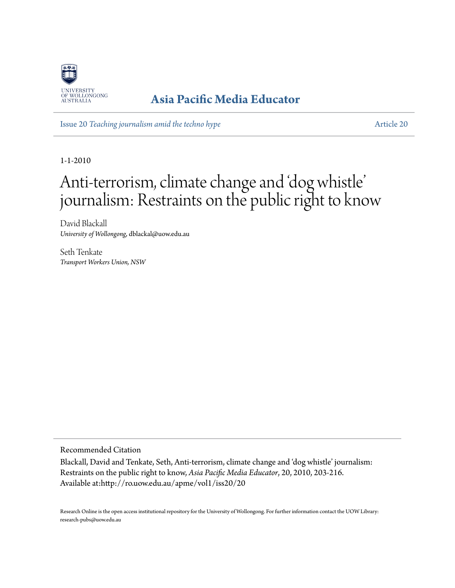

### **[Asia Pacific Media Educator](http://ro.uow.edu.au/apme)**

Issue 20 *[Teaching journalism amid the techno hype](http://ro.uow.edu.au/apme/vol1/iss20)* [Article 20](http://ro.uow.edu.au/apme/vol1/iss20/20)

1-1-2010

# Anti-terrorism, climate change and 'dog whistle' journalism: Restraints on the public right to know

David Blackall *University of Wollongong*, dblackal@uow.edu.au

Seth Tenkate *Transport Workers Union, NSW*

Recommended Citation

Blackall, David and Tenkate, Seth, Anti-terrorism, climate change and 'dog whistle' journalism: Restraints on the public right to know, *Asia Pacific Media Educator*, 20, 2010, 203-216. Available at:http://ro.uow.edu.au/apme/vol1/iss20/20

Research Online is the open access institutional repository for the University of Wollongong. For further information contact the UOW Library: research-pubs@uow.edu.au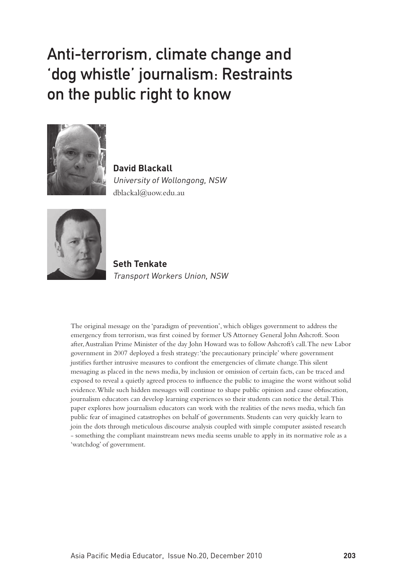## Anti-terrorism, climate change and 'dog whistle' journalism: Restraints on the public right to know



**David Blackall** University of Wollongong, NSW dblackal@uow.edu.au



**Seth Tenkate** Transport Workers Union, NSW

The original message on the 'paradigm of prevention', which obliges government to address the emergency from terrorism, was first coined by former US Attorney General John Ashcroft. Soon after, Australian Prime Minister of the day John Howard was to follow Ashcroft's call. The new Labor government in 2007 deployed a fresh strategy: 'the precautionary principle' where government justifies further intrusive measures to confront the emergencies of climate change. This silent messaging as placed in the news media, by inclusion or omission of certain facts, can be traced and exposed to reveal a quietly agreed process to influence the public to imagine the worst without solid evidence. While such hidden messages will continue to shape public opinion and cause obfuscation, journalism educators can develop learning experiences so their students can notice the detail. This paper explores how journalism educators can work with the realities of the news media, which fan public fear of imagined catastrophes on behalf of governments. Students can very quickly learn to join the dots through meticulous discourse analysis coupled with simple computer assisted research - something the compliant mainstream news media seems unable to apply in its normative role as a 'watchdog' of government.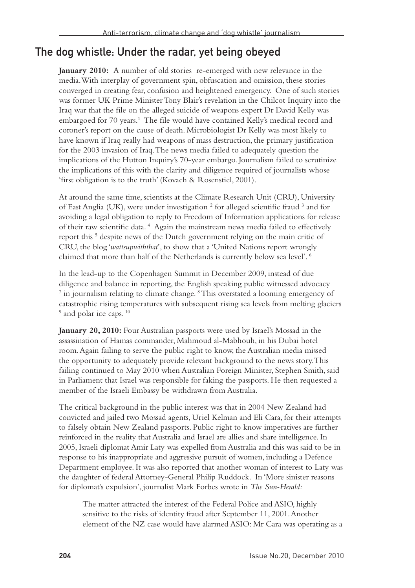### The dog whistle: Under the radar, yet being obeyed

**January 2010:** A number of old stories re-emerged with new relevance in the media. With interplay of government spin, obfuscation and omission, these stories converged in creating fear, confusion and heightened emergency. One of such stories was former UK Prime Minister Tony Blair's revelation in the Chilcot Inquiry into the Iraq war that the file on the alleged suicide of weapons expert Dr David Kelly was embargoed for 70 years.<sup>1</sup> The file would have contained Kelly's medical record and coroner's report on the cause of death. Microbiologist Dr Kelly was most likely to have known if Iraq really had weapons of mass destruction, the primary justification for the 2003 invasion of Iraq. The news media failed to adequately question the implications of the Hutton Inquiry's 70-year embargo. Journalism failed to scrutinize the implications of this with the clarity and diligence required of journalists whose 'first obligation is to the truth' (Kovach & Rosenstiel, 2001).

At around the same time, scientists at the Climate Research Unit (CRU), University of East Anglia (UK), were under investigation<sup>2</sup> for alleged scientific fraud<sup>3</sup> and for avoiding a legal obligation to reply to Freedom of Information applications for release of their raw scientific data.<sup>4</sup> Again the mainstream news media failed to effectively report this<sup>5</sup> despite news of the Dutch government relying on the main critic of CRU, the blog '*wattsupwiththat*', to show that a 'United Nations report wrongly claimed that more than half of the Netherlands is currently below sea level'. 6

In the lead-up to the Copenhagen Summit in December 2009, instead of due diligence and balance in reporting, the English speaking public witnessed advocacy <sup>7</sup> in journalism relating to climate change. <sup>8</sup> This overstated a looming emergency of catastrophic rising temperatures with subsequent rising sea levels from melting glaciers <sup>9</sup> and polar ice caps.<sup>10</sup>

**January 20, 2010:** Four Australian passports were used by Israel's Mossad in the assassination of Hamas commander, Mahmoud al-Mabhouh, in his Dubai hotel room. Again failing to serve the public right to know, the Australian media missed the opportunity to adequately provide relevant background to the news story. This failing continued to May 2010 when Australian Foreign Minister, Stephen Smith, said in Parliament that Israel was responsible for faking the passports. He then requested a member of the Israeli Embassy be withdrawn from Australia.

The critical background in the public interest was that in 2004 New Zealand had convicted and jailed two Mossad agents, Uriel Kelman and Eli Cara, for their attempts to falsely obtain New Zealand passports. Public right to know imperatives are further reinforced in the reality that Australia and Israel are allies and share intelligence. In 2005, Israeli diplomat Amir Laty was expelled from Australia and this was said to be in response to his inappropriate and aggressive pursuit of women, including a Defence Department employee. It was also reported that another woman of interest to Laty was the daughter of federal Attorney-General Philip Ruddock. In 'More sinister reasons for diplomat's expulsion', journalist Mark Forbes wrote in *The Sun-Herald:*

The matter attracted the interest of the Federal Police and ASIO, highly sensitive to the risks of identity fraud after September 11, 2001. Another element of the NZ case would have alarmed ASIO: Mr Cara was operating as a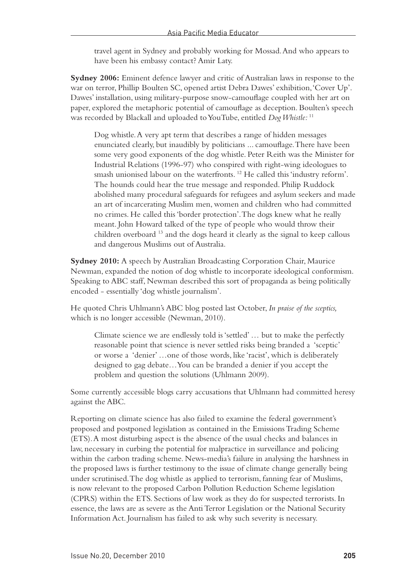travel agent in Sydney and probably working for Mossad. And who appears to have been his embassy contact? Amir Laty.

**Sydney 2006:** Eminent defence lawyer and critic of Australian laws in response to the war on terror, Phillip Boulten SC, opened artist Debra Dawes' exhibition, 'Cover Up'. Dawes' installation, using military-purpose snow-camouflage coupled with her art on paper, explored the metaphoric potential of camouflage as deception. Boulten's speech was recorded by Blackall and uploaded to YouTube, entitled *Dog Whistle:* <sup>11</sup>

Dog whistle. A very apt term that describes a range of hidden messages enunciated clearly, but inaudibly by politicians ... camouflage. There have been some very good exponents of the dog whistle. Peter Reith was the Minister for Industrial Relations (1996-97) who conspired with right-wing ideologues to smash unionised labour on the waterfronts. 12 He called this 'industry reform'. The hounds could hear the true message and responded. Philip Ruddock abolished many procedural safeguards for refugees and asylum seekers and made an art of incarcerating Muslim men, women and children who had committed no crimes. He called this 'border protection'. The dogs knew what he really meant. John Howard talked of the type of people who would throw their children overboard 13 and the dogs heard it clearly as the signal to keep callous and dangerous Muslims out of Australia.

**Sydney 2010:** A speech by Australian Broadcasting Corporation Chair, Maurice Newman, expanded the notion of dog whistle to incorporate ideological conformism. Speaking to ABC staff, Newman described this sort of propaganda as being politically encoded - essentially 'dog whistle journalism'.

He quoted Chris Uhlmann's ABC blog posted last October, *In praise of the sceptics,*  which is no longer accessible (Newman, 2010).

Climate science we are endlessly told is 'settled' … but to make the perfectly reasonable point that science is never settled risks being branded a 'sceptic' or worse a 'denier' …one of those words, like 'racist', which is deliberately designed to gag debate…You can be branded a denier if you accept the problem and question the solutions (Uhlmann 2009).

Some currently accessible blogs carry accusations that Uhlmann had committed heresy against the ABC.

Reporting on climate science has also failed to examine the federal government's proposed and postponed legislation as contained in the Emissions Trading Scheme (ETS). A most disturbing aspect is the absence of the usual checks and balances in law, necessary in curbing the potential for malpractice in surveillance and policing within the carbon trading scheme. News-media's failure in analysing the harshness in the proposed laws is further testimony to the issue of climate change generally being under scrutinised. The dog whistle as applied to terrorism, fanning fear of Muslims, is now relevant to the proposed Carbon Pollution Reduction Scheme legislation (CPRS) within the ETS. Sections of law work as they do for suspected terrorists. In essence, the laws are as severe as the Anti Terror Legislation or the National Security Information Act. Journalism has failed to ask why such severity is necessary.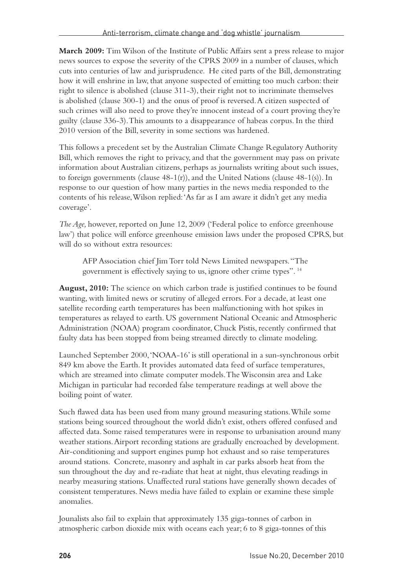**March 2009:** Tim Wilson of the Institute of Public Affairs sent a press release to major news sources to expose the severity of the CPRS 2009 in a number of clauses, which cuts into centuries of law and jurisprudence. He cited parts of the Bill, demonstrating how it will enshrine in law, that anyone suspected of emitting too much carbon: their right to silence is abolished (clause 311-3), their right not to incriminate themselves is abolished (clause 300-1) and the onus of proof is reversed. A citizen suspected of such crimes will also need to prove they're innocent instead of a court proving they're guilty (clause 336-3). This amounts to a disappearance of habeas corpus. In the third 2010 version of the Bill, severity in some sections was hardened.

This follows a precedent set by the Australian Climate Change Regulatory Authority Bill, which removes the right to privacy, and that the government may pass on private information about Australian citizens, perhaps as journalists writing about such issues, to foreign governments (clause 48-1(r)), and the United Nations (clause 48-1(s)). In response to our question of how many parties in the news media responded to the contents of his release, Wilson replied: 'As far as I am aware it didn't get any media coverage'.

*The Age,* however, reported on June 12, 2009 ('Federal police to enforce greenhouse law') that police will enforce greenhouse emission laws under the proposed CPRS, but will do so without extra resources:

AFP Association chief Jim Torr told News Limited newspapers. "The government is effectively saying to us, ignore other crime types". 14

**August, 2010:** The science on which carbon trade is justified continues to be found wanting, with limited news or scrutiny of alleged errors. For a decade, at least one satellite recording earth temperatures has been malfunctioning with hot spikes in temperatures as relayed to earth. US government National Oceanic and Atmospheric Administration (NOAA) program coordinator, Chuck Pistis, recently confirmed that faulty data has been stopped from being streamed directly to climate modeling.

Launched September 2000, 'NOAA-16' is still operational in a sun-synchronous orbit 849 km above the Earth. It provides automated data feed of surface temperatures, which are streamed into climate computer models. The Wisconsin area and Lake Michigan in particular had recorded false temperature readings at well above the boiling point of water.

Such flawed data has been used from many ground measuring stations. While some stations being sourced throughout the world didn't exist, others offered confused and affected data. Some raised temperatures were in response to urbanisation around many weather stations. Airport recording stations are gradually encroached by development. Air-conditioning and support engines pump hot exhaust and so raise temperatures around stations. Concrete, masonry and asphalt in car parks absorb heat from the sun throughout the day and re-radiate that heat at night, thus elevating readings in nearby measuring stations. Unaffected rural stations have generally shown decades of consistent temperatures. News media have failed to explain or examine these simple anomalies.

Jounalists also fail to explain that approximately 135 giga-tonnes of carbon in atmospheric carbon dioxide mix with oceans each year; 6 to 8 giga-tonnes of this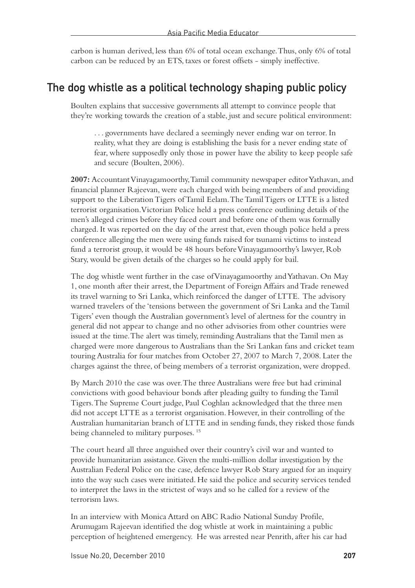carbon is human derived, less than 6% of total ocean exchange. Thus, only 6% of total carbon can be reduced by an ETS, taxes or forest offsets - simply ineffective.

### The dog whistle as a political technology shaping public policy

Boulten explains that successive governments all attempt to convince people that they're working towards the creation of a stable, just and secure political environment:

. . . governments have declared a seemingly never ending war on terror. In reality, what they are doing is establishing the basis for a never ending state of fear, where supposedly only those in power have the ability to keep people safe and secure (Boulten, 2006).

**2007:** Accountant Vinayagamoorthy, Tamil community newspaper editor Yathavan, and financial planner Rajeevan, were each charged with being members of and providing support to the Liberation Tigers of Tamil Eelam. The Tamil Tigers or LTTE is a listed terrorist organisation. Victorian Police held a press conference outlining details of the men's alleged crimes before they faced court and before one of them was formally charged. It was reported on the day of the arrest that, even though police held a press conference alleging the men were using funds raised for tsunami victims to instead fund a terrorist group, it would be 48 hours before Vinayagamoorthy's lawyer, Rob Stary, would be given details of the charges so he could apply for bail.

The dog whistle went further in the case of Vinayagamoorthy and Yathavan. On May 1, one month after their arrest, the Department of Foreign Affairs and Trade renewed its travel warning to Sri Lanka, which reinforced the danger of LTTE. The advisory warned travelers of the 'tensions between the government of Sri Lanka and the Tamil Tigers' even though the Australian government's level of alertness for the country in general did not appear to change and no other advisories from other countries were issued at the time. The alert was timely, reminding Australians that the Tamil men as charged were more dangerous to Australians than the Sri Lankan fans and cricket team touring Australia for four matches from October 27, 2007 to March 7, 2008. Later the charges against the three, of being members of a terrorist organization, were dropped.

By March 2010 the case was over. The three Australians were free but had criminal convictions with good behaviour bonds after pleading guilty to funding the Tamil Tigers. The Supreme Court judge, Paul Coghlan acknowledged that the three men did not accept LTTE as a terrorist organisation. However, in their controlling of the Australian humanitarian branch of LTTE and in sending funds, they risked those funds being channeled to military purposes.<sup>15</sup>

The court heard all three anguished over their country's civil war and wanted to provide humanitarian assistance. Given the multi-million dollar investigation by the Australian Federal Police on the case, defence lawyer Rob Stary argued for an inquiry into the way such cases were initiated. He said the police and security services tended to interpret the laws in the strictest of ways and so he called for a review of the terrorism laws.

In an interview with Monica Attard on ABC Radio National Sunday Profile, Arumugam Rajeevan identified the dog whistle at work in maintaining a public perception of heightened emergency. He was arrested near Penrith, after his car had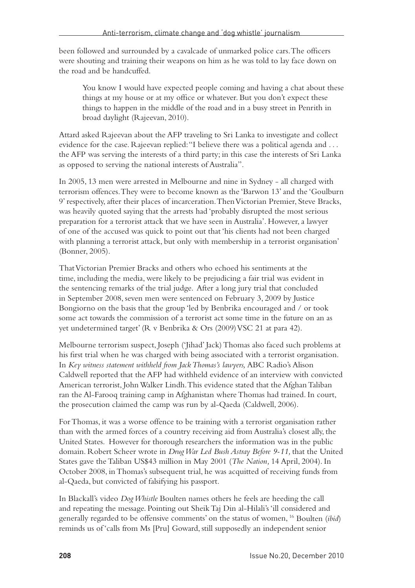been followed and surrounded by a cavalcade of unmarked police cars. The officers were shouting and training their weapons on him as he was told to lay face down on the road and be handcuffed.

You know I would have expected people coming and having a chat about these things at my house or at my office or whatever. But you don't expect these things to happen in the middle of the road and in a busy street in Penrith in broad daylight (Rajeevan, 2010).

Attard asked Rajeevan about the AFP traveling to Sri Lanka to investigate and collect evidence for the case. Rajeevan replied: "I believe there was a political agenda and . . . the AFP was serving the interests of a third party; in this case the interests of Sri Lanka as opposed to serving the national interests of Australia".

In 2005, 13 men were arrested in Melbourne and nine in Sydney - all charged with terrorism offences. They were to become known as the 'Barwon 13' and the 'Goulburn 9' respectively, after their places of incarceration. Then Victorian Premier, Steve Bracks, was heavily quoted saying that the arrests had 'probably disrupted the most serious preparation for a terrorist attack that we have seen in Australia'. However, a lawyer of one of the accused was quick to point out that 'his clients had not been charged with planning a terrorist attack, but only with membership in a terrorist organisation' (Bonner, 2005).

That Victorian Premier Bracks and others who echoed his sentiments at the time, including the media, were likely to be prejudicing a fair trial was evident in the sentencing remarks of the trial judge. After a long jury trial that concluded in September 2008, seven men were sentenced on February 3, 2009 by Justice Bongiorno on the basis that the group 'led by Benbrika encouraged and / or took some act towards the commission of a terrorist act some time in the future on an as yet undetermined target' (R v Benbrika & Ors (2009) VSC 21 at para 42).

Melbourne terrorism suspect, Joseph ('Jihad' Jack) Thomas also faced such problems at his first trial when he was charged with being associated with a terrorist organisation. In *Key witness statement withheld from Jack Thomas's lawyers,* ABC Radio's Alison Caldwell reported that the AFP had withheld evidence of an interview with convicted American terrorist, John Walker Lindh. This evidence stated that the Afghan Taliban ran the Al-Farooq training camp in Afghanistan where Thomas had trained. In court, the prosecution claimed the camp was run by al-Qaeda (Caldwell, 2006).

For Thomas, it was a worse offence to be training with a terrorist organisation rather than with the armed forces of a country receiving aid from Australia's closest ally, the United States. However for thorough researchers the information was in the public domain. Robert Scheer wrote in *Drug War Led Bush Astray Before 9-11,* that the United States gave the Taliban US\$43 million in May 2001 (*The Nation,* 14 April, 2004). In October 2008, in Thomas's subsequent trial, he was acquitted of receiving funds from al-Qaeda, but convicted of falsifying his passport.

In Blackall's video *Dog Whistle* Boulten names others he feels are heeding the call and repeating the message. Pointing out Sheik Taj Din al-Hilali's 'ill considered and generally regarded to be offensive comments' on the status of women, 16 Boulten (*ibid*) reminds us of 'calls from Ms [Pru] Goward, still supposedly an independent senior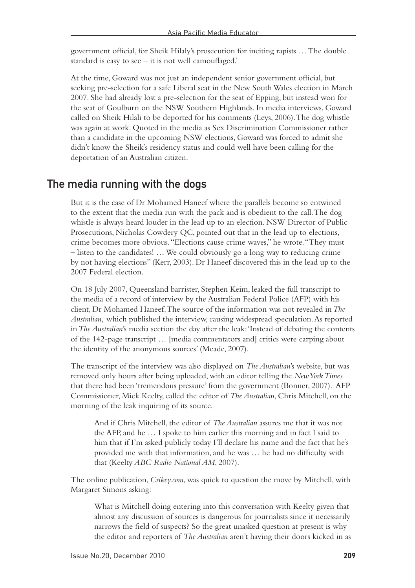government official, for Sheik Hilaly's prosecution for inciting rapists … The double standard is easy to see – it is not well camouflaged.'

At the time, Goward was not just an independent senior government official, but seeking pre-selection for a safe Liberal seat in the New South Wales election in March 2007. She had already lost a pre-selection for the seat of Epping, but instead won for the seat of Goulburn on the NSW Southern Highlands. In media interviews, Goward called on Sheik Hilali to be deported for his comments (Leys, 2006). The dog whistle was again at work. Quoted in the media as Sex Discrimination Commissioner rather than a candidate in the upcoming NSW elections, Goward was forced to admit she didn't know the Sheik's residency status and could well have been calling for the deportation of an Australian citizen.

#### The media running with the dogs

But it is the case of Dr Mohamed Haneef where the parallels become so entwined to the extent that the media run with the pack and is obedient to the call. The dog whistle is always heard louder in the lead up to an election. NSW Director of Public Prosecutions, Nicholas Cowdery QC, pointed out that in the lead up to elections, crime becomes more obvious. "Elections cause crime waves," he wrote. "They must – listen to the candidates! … We could obviously go a long way to reducing crime by not having elections" (Kerr, 2003). Dr Haneef discovered this in the lead up to the 2007 Federal election.

On 18 July 2007, Queensland barrister, Stephen Keim, leaked the full transcript to the media of a record of interview by the Australian Federal Police (AFP) with his client, Dr Mohamed Haneef. The source of the information was not revealed in *The Australian,* which published the interview, causing widespread speculation. As reported in *The Australian*'s media section the day after the leak: 'Instead of debating the contents of the 142-page transcript … [media commentators and] critics were carping about the identity of the anonymous sources' (Meade, 2007).

The transcript of the interview was also displayed on *The Australian*'s website, but was removed only hours after being uploaded, with an editor telling the *New York Times* that there had been 'tremendous pressure' from the government (Bonner, 2007). AFP Commissioner, Mick Keelty, called the editor of *The Australian*, Chris Mitchell, on the morning of the leak inquiring of its source.

And if Chris Mitchell, the editor of *The Australian* assures me that it was not the AFP, and he … I spoke to him earlier this morning and in fact I said to him that if I'm asked publicly today I'll declare his name and the fact that he's provided me with that information, and he was … he had no difficulty with that (Keelty *ABC Radio National AM*, 2007).

The online publication, *Crikey.com*, was quick to question the move by Mitchell, with Margaret Simons asking:

What is Mitchell doing entering into this conversation with Keelty given that almost any discussion of sources is dangerous for journalists since it necessarily narrows the field of suspects? So the great unasked question at present is why the editor and reporters of *The Australian* aren't having their doors kicked in as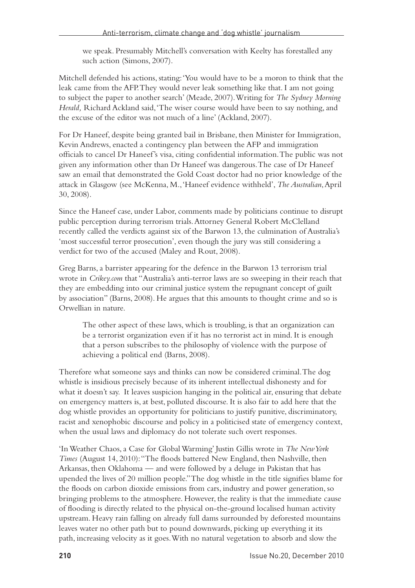we speak. Presumably Mitchell's conversation with Keelty has forestalled any such action (Simons, 2007).

Mitchell defended his actions, stating: 'You would have to be a moron to think that the leak came from the AFP. They would never leak something like that. I am not going to subject the paper to another search' (Meade, 2007). Writing for *The Sydney Morning Herald,* Richard Ackland said, 'The wiser course would have been to say nothing, and the excuse of the editor was not much of a line' (Ackland, 2007).

For Dr Haneef, despite being granted bail in Brisbane, then Minister for Immigration, Kevin Andrews, enacted a contingency plan between the AFP and immigration officials to cancel Dr Haneef's visa, citing confidential information. The public was not given any information other than Dr Haneef was dangerous. The case of Dr Haneef saw an email that demonstrated the Gold Coast doctor had no prior knowledge of the attack in Glasgow (see McKenna, M., 'Haneef evidence withheld', *The Australian*, April 30, 2008).

Since the Haneef case, under Labor, comments made by politicians continue to disrupt public perception during terrorism trials. Attorney General Robert McClelland recently called the verdicts against six of the Barwon 13, the culmination of Australia's 'most successful terror prosecution', even though the jury was still considering a verdict for two of the accused (Maley and Rout, 2008).

Greg Barns, a barrister appearing for the defence in the Barwon 13 terrorism trial wrote in *Crikey.com* that "Australia's anti-terror laws are so sweeping in their reach that they are embedding into our criminal justice system the repugnant concept of guilt by association" (Barns, 2008). He argues that this amounts to thought crime and so is Orwellian in nature.

The other aspect of these laws, which is troubling, is that an organization can be a terrorist organization even if it has no terrorist act in mind. It is enough that a person subscribes to the philosophy of violence with the purpose of achieving a political end (Barns, 2008).

Therefore what someone says and thinks can now be considered criminal. The dog whistle is insidious precisely because of its inherent intellectual dishonesty and for what it doesn't say. It leaves suspicion hanging in the political air, ensuring that debate on emergency matters is, at best, polluted discourse. It is also fair to add here that the dog whistle provides an opportunity for politicians to justify punitive, discriminatory, racist and xenophobic discourse and policy in a politicised state of emergency context, when the usual laws and diplomacy do not tolerate such overt responses.

'In Weather Chaos, a Case for Global Warming' Justin Gillis wrote in *The New York Times* (August 14, 2010): "The floods battered New England, then Nashville, then Arkansas, then Oklahoma — and were followed by a deluge in Pakistan that has upended the lives of 20 million people." The dog whistle in the title signifies blame for the floods on carbon dioxide emissions from cars, industry and power generation, so bringing problems to the atmosphere. However, the reality is that the immediate cause of flooding is directly related to the physical on-the-ground localised human activity upstream. Heavy rain falling on already full dams surrounded by deforested mountains leaves water no other path but to pound downwards, picking up everything it its path, increasing velocity as it goes. With no natural vegetation to absorb and slow the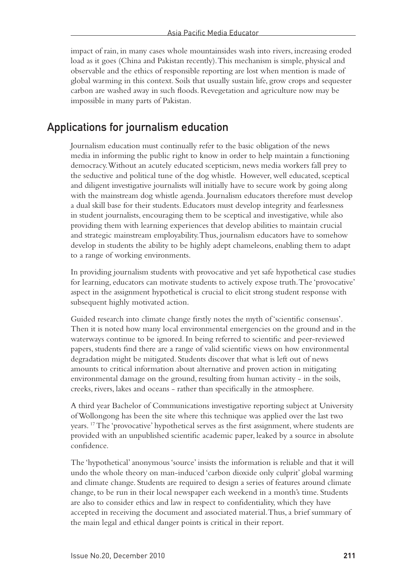impact of rain, in many cases whole mountainsides wash into rivers, increasing eroded load as it goes (China and Pakistan recently). This mechanism is simple, physical and observable and the ethics of responsible reporting are lost when mention is made of global warming in this context. Soils that usually sustain life, grow crops and sequester carbon are washed away in such floods. Revegetation and agriculture now may be impossible in many parts of Pakistan.

### Applications for journalism education

Journalism education must continually refer to the basic obligation of the news media in informing the public right to know in order to help maintain a functioning democracy. Without an acutely educated scepticism, news media workers fall prey to the seductive and political tune of the dog whistle. However, well educated, sceptical and diligent investigative journalists will initially have to secure work by going along with the mainstream dog whistle agenda. Journalism educators therefore must develop a dual skill base for their students. Educators must develop integrity and fearlessness in student journalists, encouraging them to be sceptical and investigative, while also providing them with learning experiences that develop abilities to maintain crucial and strategic mainstream employability. Thus, journalism educators have to somehow develop in students the ability to be highly adept chameleons, enabling them to adapt to a range of working environments.

In providing journalism students with provocative and yet safe hypothetical case studies for learning, educators can motivate students to actively expose truth. The 'provocative' aspect in the assignment hypothetical is crucial to elicit strong student response with subsequent highly motivated action.

Guided research into climate change firstly notes the myth of 'scientific consensus'. Then it is noted how many local environmental emergencies on the ground and in the waterways continue to be ignored. In being referred to scientific and peer-reviewed papers, students find there are a range of valid scientific views on how environmental degradation might be mitigated. Students discover that what is left out of news amounts to critical information about alternative and proven action in mitigating environmental damage on the ground, resulting from human activity - in the soils, creeks, rivers, lakes and oceans - rather than specifically in the atmosphere.

A third year Bachelor of Communications investigative reporting subject at University of Wollongong has been the site where this technique was applied over the last two years. 17 The 'provocative' hypothetical serves as the first assignment, where students are provided with an unpublished scientific academic paper, leaked by a source in absolute confidence.

The 'hypothetical' anonymous 'source' insists the information is reliable and that it will undo the whole theory on man-induced 'carbon dioxide only culprit' global warming and climate change. Students are required to design a series of features around climate change, to be run in their local newspaper each weekend in a month's time. Students are also to consider ethics and law in respect to confidentiality, which they have accepted in receiving the document and associated material. Thus, a brief summary of the main legal and ethical danger points is critical in their report.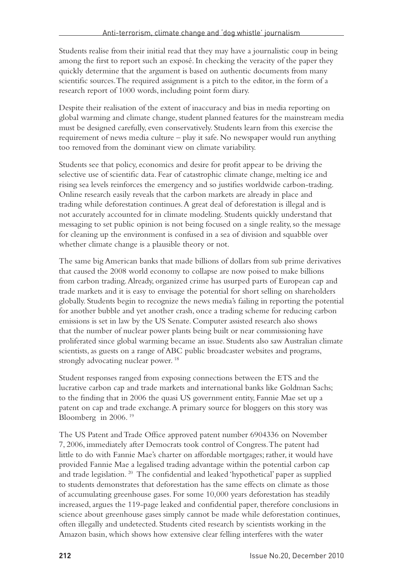Students realise from their initial read that they may have a journalistic coup in being among the first to report such an exposé. In checking the veracity of the paper they quickly determine that the argument is based on authentic documents from many scientific sources. The required assignment is a pitch to the editor, in the form of a research report of 1000 words, including point form diary.

Despite their realisation of the extent of inaccuracy and bias in media reporting on global warming and climate change, student planned features for the mainstream media must be designed carefully, even conservatively. Students learn from this exercise the requirement of news media culture – play it safe. No newspaper would run anything too removed from the dominant view on climate variability.

Students see that policy, economics and desire for profit appear to be driving the selective use of scientific data. Fear of catastrophic climate change, melting ice and rising sea levels reinforces the emergency and so justifies worldwide carbon-trading. Online research easily reveals that the carbon markets are already in place and trading while deforestation continues. A great deal of deforestation is illegal and is not accurately accounted for in climate modeling. Students quickly understand that messaging to set public opinion is not being focused on a single reality, so the message for cleaning up the environment is confused in a sea of division and squabble over whether climate change is a plausible theory or not.

The same big American banks that made billions of dollars from sub prime derivatives that caused the 2008 world economy to collapse are now poised to make billions from carbon trading. Already, organized crime has usurped parts of European cap and trade markets and it is easy to envisage the potential for short selling on shareholders globally. Students begin to recognize the news media's failing in reporting the potential for another bubble and yet another crash, once a trading scheme for reducing carbon emissions is set in law by the US Senate. Computer assisted research also shows that the number of nuclear power plants being built or near commissioning have proliferated since global warming became an issue. Students also saw Australian climate scientists, as guests on a range of ABC public broadcaster websites and programs, strongly advocating nuclear power. 18

Student responses ranged from exposing connections between the ETS and the lucrative carbon cap and trade markets and international banks like Goldman Sachs; to the finding that in 2006 the quasi US government entity, Fannie Mae set up a patent on cap and trade exchange. A primary source for bloggers on this story was Bloomberg in 2006. 19

The US Patent and Trade Office approved patent number 6904336 on November 7, 2006, immediately after Democrats took control of Congress. The patent had little to do with Fannie Mae's charter on affordable mortgages; rather, it would have provided Fannie Mae a legalised trading advantage within the potential carbon cap and trade legislation. 20 The confidential and leaked 'hypothetical' paper as supplied to students demonstrates that deforestation has the same effects on climate as those of accumulating greenhouse gases. For some 10,000 years deforestation has steadily increased, argues the 119-page leaked and confidential paper, therefore conclusions in science about greenhouse gases simply cannot be made while deforestation continues, often illegally and undetected. Students cited research by scientists working in the Amazon basin, which shows how extensive clear felling interferes with the water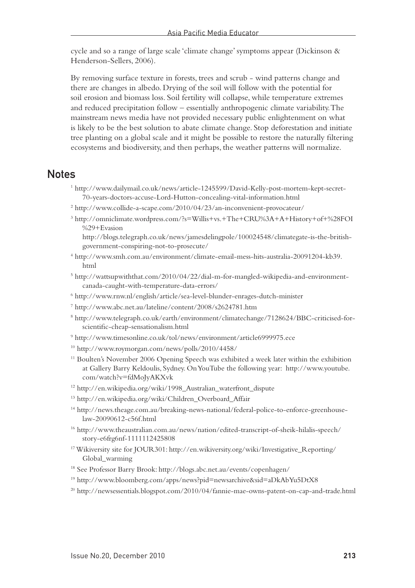cycle and so a range of large scale 'climate change' symptoms appear (Dickinson & Henderson-Sellers, 2006).

By removing surface texture in forests, trees and scrub - wind patterns change and there are changes in albedo. Drying of the soil will follow with the potential for soil erosion and biomass loss. Soil fertility will collapse, while temperature extremes and reduced precipitation follow – essentially anthropogenic climate variability. The mainstream news media have not provided necessary public enlightenment on what is likely to be the best solution to abate climate change. Stop deforestation and initiate tree planting on a global scale and it might be possible to restore the naturally filtering ecosystems and biodiversity, and then perhaps, the weather patterns will normalize.

#### **Notes**

- 1 http://www.dailymail.co.uk/news/article-1245599/David-Kelly-post-mortem-kept-secret-70-years-doctors-accuse-Lord-Hutton-concealing-vital-information.html
- 2 http://www.collide-a-scape.com/2010/04/23/an-inconvenient-provocateur/
- 3 http://omniclimate.wordpress.com/?s=Willis+vs.+The+CRU%3A+A+History+of+%28FOI %29+Evasion http://blogs.telegraph.co.uk/news/jamesdelingpole/100024548/climategate-is-the-british-

government-conspiring-not-to-prosecute/

- 4 http://www.smh.com.au/environment/climate-email-mess-hits-australia-20091204-kb39. html
- 5 http://wattsupwiththat.com/2010/04/22/dial-m-for-mangled-wikipedia-and-environmentcanada-caught-with-temperature-data-errors/
- 6 http://www.rnw.nl/english/article/sea-level-blunder-enrages-dutch-minister
- 7 http://www.abc.net.au/lateline/content/2008/s2624781.htm
- 8 http://www.telegraph.co.uk/earth/environment/climatechange/7128624/BBC-criticised-forscientific-cheap-sensationalism.html
- 9 http://www.timesonline.co.uk/tol/news/environment/article6999975.ece
- 10 http://www.roymorgan.com/news/polls/2010/4458/
- 11 Boulten's November 2006 Opening Speech was exhibited a week later within the exhibition at Gallery Barry Keldoulis, Sydney. On YouTube the following year: http://www.youtube. com/watch?v=fdMoJyAKXvk
- 12 http://en.wikipedia.org/wiki/1998\_Australian\_waterfront\_dispute
- 13 http://en.wikipedia.org/wiki/Children\_Overboard\_Affair
- 14 http://news.theage.com.au/breaking-news-national/federal-police-to-enforce-greenhouselaw-20090612-c56f.html
- 16 http://www.theaustralian.com.au/news/nation/edited-transcript-of-sheik-hilalis-speech/ story-e6frg6nf-1111112425808
- 17 Wikiversity site for JOUR301: http://en.wikiversity.org/wiki/Investigative\_Reporting/ Global\_warming
- 18 See Professor Barry Brook: http://blogs.abc.net.au/events/copenhagen/
- 19 http://www.bloomberg.com/apps/news?pid=newsarchive&sid=aDkAbYu5DtX8
- 20 http://newsessentials.blogspot.com/2010/04/fannie-mae-owns-patent-on-cap-and-trade.html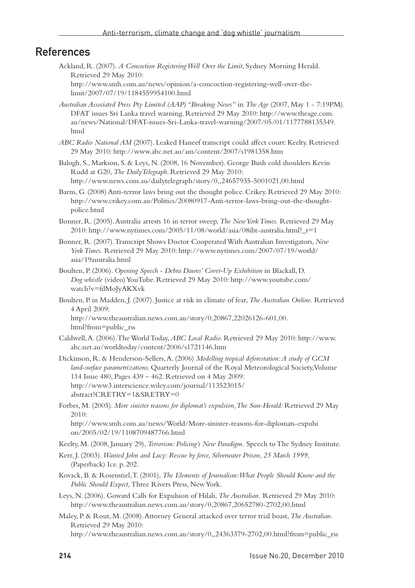#### References

- Ackland, R. (2007). *A Concoction Registering Well Over the Limit*, Sydney Morning Herald. Retrieved 29 May 2010: http://www.smh.com.au/news/opinion/a-concoction-registering-well-over-thelimit/2007/07/19/1184559954100.html
- *Australian Associated Press Pty Limited (AAP) "Breaking News"* in *The Age* (2007, May 1 7:19PM). DFAT issues Sri Lanka travel warning. Retrieved 29 May 2010: http://www.theage.com. au/news/National/DFAT-issues-Sri-Lanka-travel-warning/2007/05/01/1177788135349. html
- *ABC Radio National AM* (2007). Leaked Haneef transcript could affect court: Keelty. Retrieved 29 May 2010: http://www.abc.net.au/am/content/2007/s1981358.htm

Balogh, S., Markson, S. & Leys, N. (2008, 16 November). George Bush cold shoulders Kevin Rudd at G20, *The DailyTelegraph*. Retrieved 29 May 2010: http://www.news.com.au/dailytelegraph/story/0,,24657935-5001021,00.html

- Barns, G. (2008) Anti-terror laws bring out the thought police. Crikey. Retrieved 29 May 2010: http://www.crikey.com.au/Politics/20080917-Anti-terror-laws-bring-out-the-thoughtpolice.html
- Bonner, R. (2005). Australia arrests 16 in terror sweep, *The New York Times.* Retrieved 29 May 2010: http://www.nytimes.com/2005/11/08/world/asia/08iht-australia.html?\_r=1
- Bonner, R. (2007). Transcript Shows Doctor Cooperated With Australian Investigators, *New York Times.* Retrieved 29 May 2010: http://www.nytimes.com/2007/07/19/world/ asia/19australia.html
- Boulten, P. (2006). *Opening Speech Debra Dawes' Cover-Up Exhibition* in Blackall, D. *Dog whistle* (video) YouTube. Retrieved 29 May 2010: http://www.youtube.com/ watch?v=fdMoJyAKXvk
- Boulten, P. in Madden, J. (2007). Justice at risk in climate of fear, *The Australian Online.* Retrieved 4 April 2009:

http://www.theaustralian.news.com.au/story/0,20867,22026126-601,00. html?from=public\_rss

- Caldwell, A. (2006). The World Today, *ABC Local Radio*. Retrieved 29 May 2010: http://www. abc.net.au/worldtoday/content/2006/s1721146.htm
- Dickinson, R. & Henderson-Sellers, A. (2006) *Modelling tropical deforestation: A study of GCM land-surface parametrizations.* Quarterly Journal of the Royal Meteorological Society, Volume 114 Issue 480, Pages 439 – 462. Retrieved on 4 May 2009: http://www3.interscience.wiley.com/journal/113523015/ abstract?CRETRY=1&SRETRY=0
- Forbes, M. (2005). *More sinister reasons for diplomat's expulsion, The Sun-Herald:* Retrieved 29 May  $2010$

http://www.smh.com.au/news/World/More-sinister-reasons-for-diplomats-expulsi on/2005/02/19/1108709487766.html

- Keelty, M. (2008, January 29), *Terrorism: Policing's New Paradigm.* Speech to The Sydney Institute.
- Kerr, J. (2003). *Wanted John and Lucy: Rescue by force, Silverwater Prison, 25 March 1999,*  (Paperback) Ice. p. 202.
- Kovack, B. & Rosenstiel, T. (2001), *The Elements of Journalism: What People Should Know and the Public Should Expect,* Three Rivers Press, New York.
- Leys, N. (2006). Goward Calls for Expulsion of Hilali, *The Australian.* Retrieved 29 May 2010: http://www.theaustralian.news.com.au/story/0,20867,20652780-2702,00.html
- Maley, P. & Rout, M. (2008). Attorney General attacked over terror trial boast, *The Australian.*  Retrieved 29 May 2010:

http://www.theaustralian.news.com.au/story/0,,24363379-2702,00.html?from=public\_rss